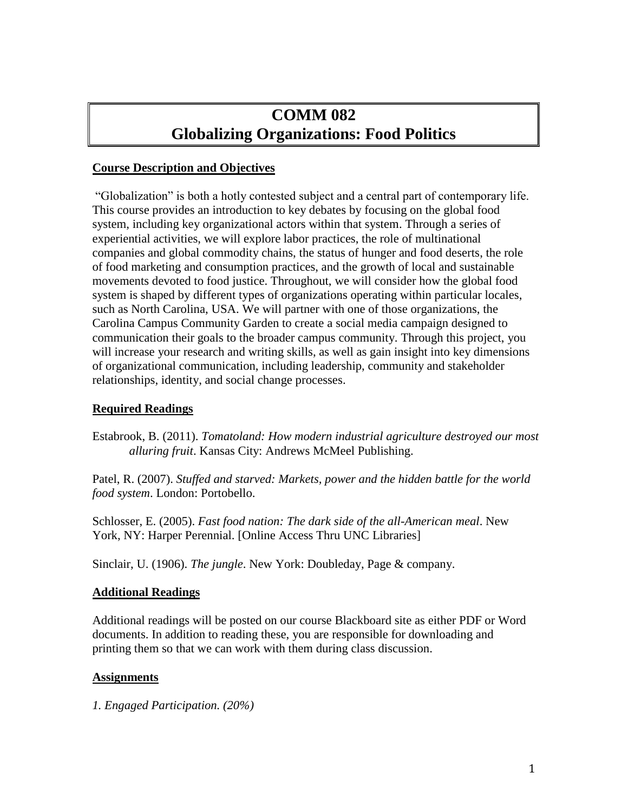# **COMM 082 Globalizing Organizations: Food Politics**

### **Course Description and Objectives**

"Globalization" is both a hotly contested subject and a central part of contemporary life. This course provides an introduction to key debates by focusing on the global food system, including key organizational actors within that system. Through a series of experiential activities, we will explore labor practices, the role of multinational companies and global commodity chains, the status of hunger and food deserts, the role of food marketing and consumption practices, and the growth of local and sustainable movements devoted to food justice. Throughout, we will consider how the global food system is shaped by different types of organizations operating within particular locales, such as North Carolina, USA. We will partner with one of those organizations, the Carolina Campus Community Garden to create a social media campaign designed to communication their goals to the broader campus community. Through this project, you will increase your research and writing skills, as well as gain insight into key dimensions of organizational communication, including leadership, community and stakeholder relationships, identity, and social change processes.

# **Required Readings**

Estabrook, B. (2011). *Tomatoland: How modern industrial agriculture destroyed our most alluring fruit*. Kansas City: Andrews McMeel Publishing.

Patel, R. (2007). *Stuffed and starved: Markets, power and the hidden battle for the world food system*. London: Portobello.

Schlosser, E. (2005). *Fast food nation: The dark side of the all-American meal*. New York, NY: Harper Perennial. [Online Access Thru UNC Libraries]

Sinclair, U. (1906). *The jungle*. New York: Doubleday, Page & company.

#### **Additional Readings**

Additional readings will be posted on our course Blackboard site as either PDF or Word documents. In addition to reading these, you are responsible for downloading and printing them so that we can work with them during class discussion.

#### **Assignments**

*1. Engaged Participation. (20%)*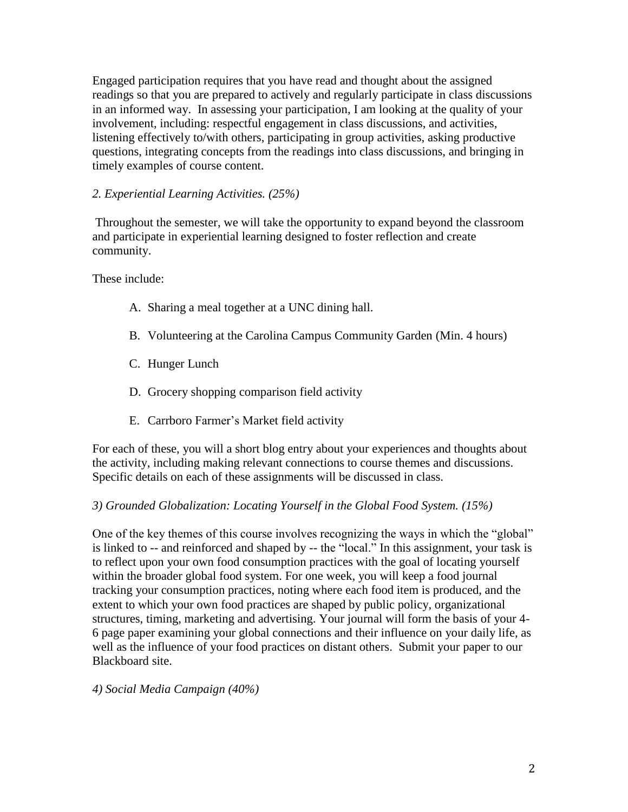Engaged participation requires that you have read and thought about the assigned readings so that you are prepared to actively and regularly participate in class discussions in an informed way. In assessing your participation, I am looking at the quality of your involvement, including: respectful engagement in class discussions, and activities, listening effectively to/with others, participating in group activities, asking productive questions, integrating concepts from the readings into class discussions, and bringing in timely examples of course content.

# *2. Experiential Learning Activities. (25%)*

Throughout the semester, we will take the opportunity to expand beyond the classroom and participate in experiential learning designed to foster reflection and create community.

These include:

- A. Sharing a meal together at a UNC dining hall.
- B. Volunteering at the Carolina Campus Community Garden (Min. 4 hours)
- C. Hunger Lunch
- D. Grocery shopping comparison field activity
- E. Carrboro Farmer's Market field activity

For each of these, you will a short blog entry about your experiences and thoughts about the activity, including making relevant connections to course themes and discussions. Specific details on each of these assignments will be discussed in class.

# *3) Grounded Globalization: Locating Yourself in the Global Food System. (15%)*

One of the key themes of this course involves recognizing the ways in which the "global" is linked to -- and reinforced and shaped by -- the "local." In this assignment, your task is to reflect upon your own food consumption practices with the goal of locating yourself within the broader global food system. For one week, you will keep a food journal tracking your consumption practices, noting where each food item is produced, and the extent to which your own food practices are shaped by public policy, organizational structures, timing, marketing and advertising. Your journal will form the basis of your 4- 6 page paper examining your global connections and their influence on your daily life, as well as the influence of your food practices on distant others. Submit your paper to our Blackboard site.

*4) Social Media Campaign (40%)*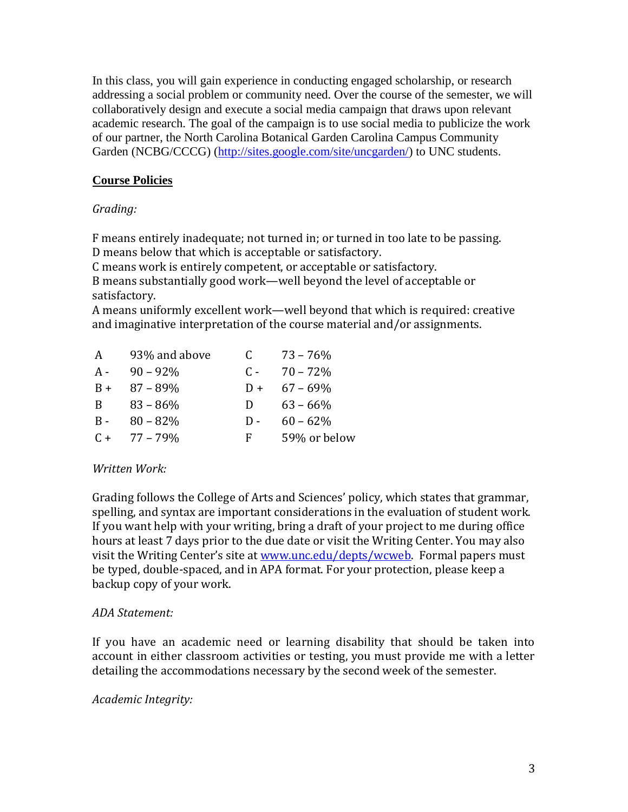In this class, you will gain experience in conducting engaged scholarship, or research addressing a social problem or community need. Over the course of the semester, we will collaboratively design and execute a social media campaign that draws upon relevant academic research. The goal of the campaign is to use social media to publicize the work of our partner, the North Carolina Botanical Garden Carolina Campus Community Garden (NCBG/CCCG) [\(http://sites.google.com/site/uncgarden/\)](http://sites.google.com/site/uncgarden/) to UNC students.

# **Course Policies**

# *Grading:*

F means entirely inadequate; not turned in; or turned in too late to be passing. D means below that which is acceptable or satisfactory.

C means work is entirely competent, or acceptable or satisfactory.

B means substantially good work—well beyond the level of acceptable or satisfactory.

A means uniformly excellent work—well beyond that which is required: creative and imaginative interpretation of the course material and/or assignments.

| A     | 93% and above | C.           | $73 - 76\%$  |
|-------|---------------|--------------|--------------|
| A -   | $90 - 92\%$   | $C -$        | $70 - 72%$   |
| $B +$ | $87 - 89\%$   | $D +$        | $67 - 69\%$  |
| B     | $83 - 86\%$   | $\mathbf{D}$ | $63 - 66\%$  |
| $B -$ | $80 - 82%$    | $\mathbf{D}$ | $60 - 62%$   |
| $C +$ | 77 – 79%      | F.           | 59% or below |

# *Written Work:*

Grading follows the College of Arts and Sciences' policy, which states that grammar, spelling, and syntax are important considerations in the evaluation of student work. If you want help with your writing, bring a draft of your project to me during office hours at least 7 days prior to the due date or visit the Writing Center. You may also visit the Writing Center's site at [www.unc.edu/depts/wcweb.](http://www.unc.edu/depts/wcweb) Formal papers must be typed, double-spaced, and in APA format. For your protection, please keep a backup copy of your work.

# *ADA Statement:*

If you have an academic need or learning disability that should be taken into account in either classroom activities or testing, you must provide me with a letter detailing the accommodations necessary by the second week of the semester.

# *Academic Integrity:*